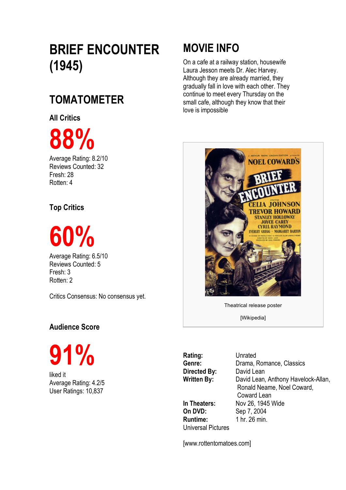# **BRIEF ENCOUNTER (1945)**

## **TOMATOMETER**

**All Critics**

**88%**

Average Rating: 8.2/10 Reviews Counted: 32 Fresh: 28 Rotten: 4

### **Top Critics**

**60%**

Average Rating: 6.5/10 Reviews Counted: 5 Fresh: 3 Rotten: 2

Critics Consensus: No consensus yet.

### **Audience Score**

**91%**

liked it Average Rating: 4.2/5 User Ratings: 10,837

## **MOVIE INFO**

On a cafe at a railway station, housewife Laura Jesson meets Dr. Alec Harvey. Although they are already married, they gradually fall in love with each other. They continue to meet every Thursday on the small cafe, although they know that their love is impossible



Theatrical release poster

[Wikipedia]

**Rating:** Unrated **Directed By:** David Lean

**On DVD:** Sep 7, 2004 **Runtime:** 1 hr. 26 min. Universal Pictures

Genre: Drama, Romance, Classics **Written By:** David Lean, Anthony Havelock-Allan, Ronald Neame, Noel Coward, Coward Lean **In Theaters:** Nov 26, 1945 Wide

[www.rottentomatoes.com]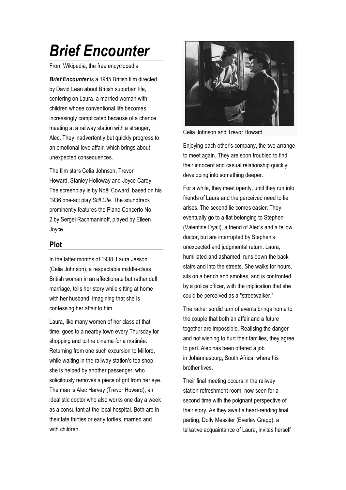# *Brief Encounter*

From Wikipedia, the free encyclopedia

*Brief Encounter* is a 1945 British film directed by David Lean about British suburban life, centering on Laura, a married woman with children whose conventional life becomes increasingly complicated because of a chance meeting at a railway station with a stranger, Alec. They inadvertently but quickly progress to an emotional love affair, which brings about unexpected consequences.

The film stars Celia Johnson, Trevor Howard, Stanley Holloway and Joyce Carey. The screenplay is by Noël Coward, based on his 1936 one-act play *Still Life*. The soundtrack prominently features the Piano Concerto No. 2 by Sergei Rachmaninoff, played by Eileen Joyce.

#### **Plot**

In the latter months of 1938, Laura Jesson (Celia Johnson), a respectable middle-class British woman in an affectionate but rather dull marriage, tells her story while sitting at home with her husband, imagining that she is confessing her affair to him.

Laura, like many women of her class at that time, goes to a nearby town every Thursday for shopping and to the cinema for a matinée. Returning from one such excursion to Milford, while waiting in the railway station's tea shop. she is helped by another passenger, who solicitously removes a piece of grit from her eye. The man is Alec Harvey (Trevor Howard), an idealistic doctor who also works one day a week as a consultant at the local hospital. Both are in their late thirties or early forties, married and with children.



Celia Johnson and Trevor Howard

Enjoying each other's company, the two arrange to meet again. They are soon troubled to find their innocent and casual relationship quickly developing into something deeper.

For a while, they meet openly, until they run into friends of Laura and the perceived need to lie arises. The second lie comes easier. They eventually go to a flat belonging to Stephen (Valentine Dyall), a friend of Alec's and a fellow doctor, but are interrupted by Stephen's unexpected and judgmental return. Laura, humiliated and ashamed, runs down the back stairs and into the streets. She walks for hours, sits on a bench and smokes, and is confronted by a police officer, with the implication that she could be perceived as a "streetwalker."

The rather sordid turn of events brings home to the couple that both an affair and a future together are impossible. Realising the danger and not wishing to hurt their families, they agree to part. Alec has been offered a job in Johannesburg, South Africa, where his brother lives.

Their final meeting occurs in the railway station refreshment room, now seen for a second time with the poignant perspective of their story. As they await a heart-rending final parting, Dolly Messiter (Everley Gregg), a talkative acquaintance of Laura, invites herself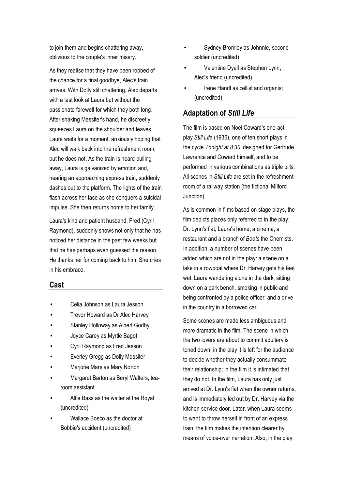to join them and begins chattering away, oblivious to the couple's inner misery.

As they realise that they have been robbed of the chance for a final goodbye, Alec's train arrives. With Dolly still chattering, Alec departs with a last look at Laura but without the passionate farewell for which they both long. After shaking Messiter's hand, he discreetly squeezes Laura on the shoulder and leaves. Laura waits for a moment, anxiously hoping that Alec will walk back into the refreshment room, but he does not. As the train is heard pulling away, Laura is galvanized by emotion and, hearing an approaching express train, suddenly dashes out to the platform. The lights of the train flash across her face as she conquers a suicidal impulse. She then returns home to her family.

Laura's kind and patient husband, Fred (Cyril Raymond), suddenly shows not only that he has noticed her distance in the past few weeks but that he has perhaps even guessed the reason. He thanks her for coming back to him. She cries in his embrace.

#### **Cast**

- Celia Johnson as Laura Jesson
- Trevor Howard as Dr Alec Harvey
- Stanley Holloway as Albert Godby
- Joyce Carey as Myrtle Bagot
- Cyril Raymond as Fred Jesson
- Everley Gregg as Dolly Messiter
- Marjorie Mars as Mary Norton
- Margaret Barton as Beryl Walters, tearoom assistant
- Alfie Bass as the waiter at the Royal (uncredited)
- Wallace Bosco as the doctor at Bobbie's accident (uncredited)
- Sydney Bromley as Johnnie, second soldier (uncredited)
- Valentine Dyall as Stephen Lynn, Alec's friend (uncredited)
- Irene Handl as cellist and organist (uncredited)

#### **Adaptation of** *Still Life*

The film is based on Noël Coward's one-act play *Still Life* (1936), one of ten short plays in the cycle *Tonight at 8:30*, designed for Gertrude Lawrence and Coward himself, and to be performed in various combinations as triple bills. All scenes in *Still Life* are set in the refreshment room of a railway station (the fictional Milford Junction).

As is common in films based on stage plays, the film depicts places only referred to in the play: Dr. Lynn's flat, Laura's home, a cinema, a restaurant and a branch of *Boots* the Chemists. In addition, a number of scenes have been added which are not in the play: a scene on a lake in a rowboat where Dr. Harvey gets his feet wet; Laura wandering alone in the dark, sitting down on a park bench, smoking in public and being confronted by a police officer; and a drive in the country in a borrowed car.

Some scenes are made less ambiguous and more dramatic in the film. The scene in which the two lovers are about to commit adultery is toned down: in the play it is left for the audience to decide whether they actually consummate their relationship; in the film it is intimated that they do not. In the film, Laura has only just arrived at Dr. Lynn's flat when the owner returns, and is immediately led out by Dr. Harvey via the kitchen service door. Later, when Laura seems to want to throw herself in front of an express train, the film makes the intention clearer by means of voice-over narration. Also, in the play,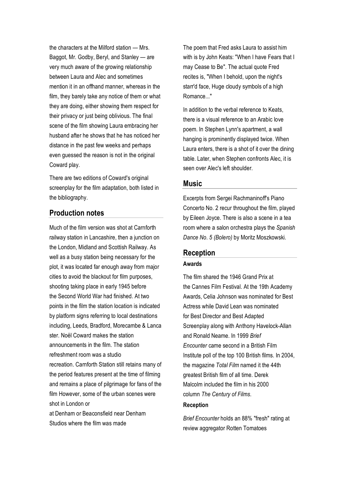the characters at the Milford station — Mrs. Baggot, Mr. Godby, Beryl, and Stanley — are very much aware of the growing relationship between Laura and Alec and sometimes mention it in an offhand manner, whereas in the film, they barely take any notice of them or what they are doing, either showing them respect for their privacy or just being oblivious. The final scene of the film showing Laura embracing her husband after he shows that he has noticed her distance in the past few weeks and perhaps even guessed the reason is not in the original Coward play.

There are two editions of Coward's original screenplay for the film adaptation, both listed in the bibliography.

#### **Production notes**

Much of the film version was shot at Carnforth railway station in Lancashire, then a junction on the London, Midland and Scottish Railway. As well as a busy station being necessary for the plot, it was located far enough away from major cities to avoid the blackout for film purposes, shooting taking place in early 1945 before the Second World War had finished. At two points in the film the station location is indicated by platform signs referring to local destinations including, Leeds, Bradford, Morecambe & Lanca ster. Noël Coward makes the station announcements in the film. The station refreshment room was a studio recreation. Carnforth Station still retains many of the period features present at the time of filming and remains a place of pilgrimage for fans of the film However, some of the urban scenes were shot in London or at Denham or Beaconsfield near Denham

Studios where the film was made

The poem that Fred asks Laura to assist him with is by John Keats: "When I have Fears that I may Cease to Be". The actual quote Fred recites is, "When I behold, upon the night's starr'd face. Huge cloudy symbols of a high Romance..."

In addition to the verbal reference to Keats, there is a visual reference to an Arabic love poem. In Stephen Lynn's apartment, a wall hanging is prominently displayed twice. When Laura enters, there is a shot of it over the dining table. Later, when Stephen confronts Alec, it is seen over Alec's left shoulder.

#### **Music**

Excerpts from Sergei Rachmaninoff's Piano Concerto No. 2 recur throughout the film, played by Eileen Joyce. There is also a scene in a tea room where a salon orchestra plays the *Spanish Dance No. 5 (Bolero)* by Moritz Moszkowski.

#### **Reception**

#### **Awards**

The film shared the 1946 Grand Prix at the Cannes Film Festival. At the 19th Academy Awards, Celia Johnson was nominated for Best Actress while David Lean was nominated for Best Director and Best Adapted Screenplay along with Anthony Havelock-Allan and Ronald Neame. In 1999 *Brief Encounter* came second in a British Film Institute poll of the top 100 British films. In 2004, the magazine *Total Film* named it the 44th greatest British film of all time. Derek Malcolm included the film in his 2000 column *The Century of Films*.

#### **Reception**

*Brief Encounter* holds an 88% "fresh" rating at review aggregator Rotten Tomatoes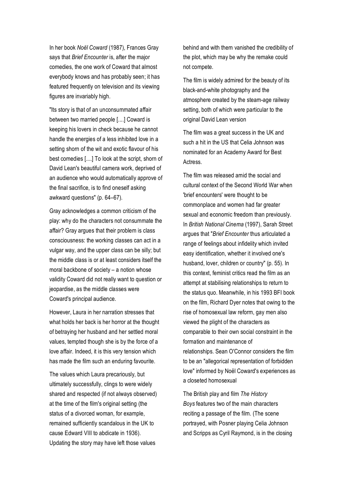In her book *Noël Coward* (1987), Frances Gray says that *Brief Encounter* is, after the major comedies, the one work of Coward that almost everybody knows and has probably seen; it has featured frequently on television and its viewing figures are invariably high.

"Its story is that of an unconsummated affair between two married people [....] Coward is keeping his lovers in check because he cannot handle the energies of a less inhibited love in a setting shorn of the wit and exotic flavour of his best comedies [....] To look at the script, shorn of David Lean's beautiful camera work, deprived of an audience who would automatically approve of the final sacrifice, is to find oneself asking awkward questions" (p. 64–67).

Gray acknowledges a common criticism of the play: why do the characters not consummate the affair? Gray argues that their problem is class consciousness: the working classes can act in a vulgar way, and the upper class can be silly; but the middle class is or at least considers itself the moral backbone of society – a notion whose validity Coward did not really want to question or jeopardise, as the middle classes were Coward's principal audience.

However, Laura in her narration stresses that what holds her back is her horror at the thought of betraying her husband and her settled moral values, tempted though she is by the force of a love affair. Indeed, it is this very tension which has made the film such an enduring favourite.

The values which Laura precariously, but ultimately successfully, clings to were widely shared and respected (if not always observed) at the time of the film's original setting (the status of a divorced woman, for example, remained sufficiently scandalous in the UK to cause Edward VIII to abdicate in 1936). Updating the story may have left those values

behind and with them vanished the credibility of the plot, which may be why the remake could not compete.

The film is widely admired for the beauty of its black-and-white photography and the atmosphere created by the steam-age railway setting, both of which were particular to the original David Lean version

The film was a great success in the UK and such a hit in the US that Celia Johnson was nominated for an Academy Award for Best Actress.

The film was released amid the social and cultural context of the Second World War when 'brief encounters' were thought to be commonplace and women had far greater sexual and economic freedom than previously. In *British National Cinema* (1997), Sarah Street argues that "*Brief Encounter* thus articulated a range of feelings about infidelity which invited easy identification, whether it involved one's husband, lover, children or country" (p. 55). In this context, feminist critics read the film as an attempt at stabilising relationships to return to the status quo. Meanwhile, in his 1993 BFI book on the film, Richard Dyer notes that owing to the rise of homosexual law reform, gay men also viewed the plight of the characters as comparable to their own social constraint in the formation and maintenance of relationships. Sean O'Connor considers the film to be an "allegorical representation of forbidden love" informed by Noël Coward's experiences as a closeted homosexual

The British play and film *The History Boys* features two of the main characters reciting a passage of the film. (The scene portrayed, with Posner playing Celia Johnson and Scripps as Cyril Raymond, is in the closing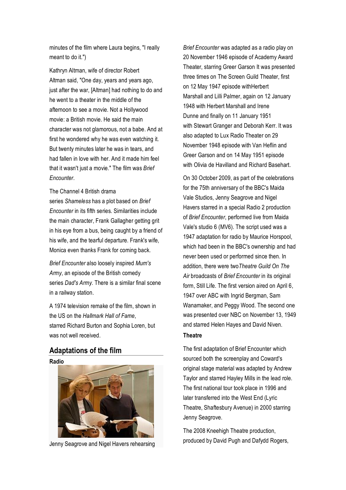minutes of the film where Laura begins, "I really meant to do it.")

Kathryn Altman, wife of director Robert Altman said, "One day, years and years ago, just after the war, [Altman] had nothing to do and he went to a theater in the middle of the afternoon to see a movie. Not a Hollywood movie: a British movie. He said the main character was not glamorous, not a babe. And at first he wondered why he was even watching it. But twenty minutes later he was in tears, and had fallen in love with her. And it made him feel that it wasn't just a movie." The film was *Brief Encounter*.

#### The Channel 4 British drama series *Shameless* has a plot based on *Brief Encounter* in its fifth series. Similarities include the main character, Frank Gallagher getting grit in his eye from a bus, being caught by a friend of his wife, and the tearful departure. Frank's wife, Monica even thanks Frank for coming back.

*Brief Encounter* also loosely inspired *Mum's Army*, an episode of the British comedy series *Dad's Army*. There is a similar final scene in a railway station.

A 1974 television remake of the film, shown in the US on the *Hallmark Hall of Fame*, starred Richard Burton and Sophia Loren, but was not well received.

#### **Adaptations of the film**

**Radio**



Jenny Seagrove and Nigel Havers rehearsing

*Brief Encounter* was adapted as a radio play on 20 November 1946 episode of Academy Award Theater, starring Greer Garson It was presented three times on The Screen Guild Theater, first on 12 May 1947 episode withHerbert Marshall and Lilli Palmer, again on 12 January 1948 with Herbert Marshall and Irene Dunne and finally on 11 January 1951 with Stewart Granger and Deborah Kerr. It was also adapted to Lux Radio Theater on 29 November 1948 episode with Van Heflin and Greer Garson and on 14 May 1951 episode with Olivia de Havilland and Richard Basehart.

On 30 October 2009, as part of the celebrations for the 75th anniversary of the BBC's Maida Vale Studios, Jenny Seagrove and Nigel Havers starred in a special Radio 2 production of *Brief Encounter*, performed live from Maida Vale's studio 6 (MV6). The script used was a 1947 adaptation for radio by Maurice Horspool, which had been in the BBC's ownership and had never been used or performed since then. In addition, there were two*Theatre Guild On The Air* broadcasts of *Brief Encounter* in its original form, Still Life. The first version aired on April 6, 1947 over ABC with Ingrid Bergman, Sam Wanamaker, and Peggy Wood. The second one was presented over NBC on November 13, 1949 and starred Helen Hayes and David Niven. **Theatre**

The first adaptation of Brief Encounter which sourced both the screenplay and Coward's original stage material was adapted by Andrew Taylor and starred Hayley Mills in the lead role. The first national tour took place in 1996 and later transferred into the West End (Lyric Theatre, Shaftesbury Avenue) in 2000 starring Jenny Seagrove.

The 2008 Kneehigh Theatre production, produced by David Pugh and Dafydd Rogers,